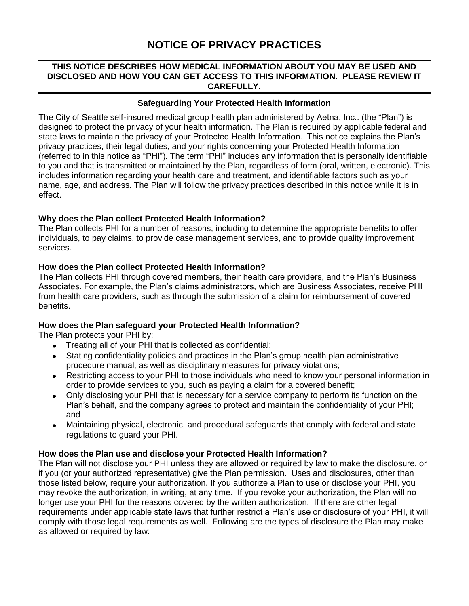# **NOTICE OF PRIVACY PRACTICES**

## **THIS NOTICE DESCRIBES HOW MEDICAL INFORMATION ABOUT YOU MAY BE USED AND DISCLOSED AND HOW YOU CAN GET ACCESS TO THIS INFORMATION. PLEASE REVIEW IT CAREFULLY.**

## **Safeguarding Your Protected Health Information**

The City of Seattle self-insured medical group health plan administered by Aetna, Inc.. (the "Plan") is designed to protect the privacy of your health information. The Plan is required by applicable federal and state laws to maintain the privacy of your Protected Health Information. This notice explains the Plan's privacy practices, their legal duties, and your rights concerning your Protected Health Information (referred to in this notice as "PHI"). The term "PHI" includes any information that is personally identifiable to you and that is transmitted or maintained by the Plan, regardless of form (oral, written, electronic). This includes information regarding your health care and treatment, and identifiable factors such as your name, age, and address. The Plan will follow the privacy practices described in this notice while it is in effect.

## **Why does the Plan collect Protected Health Information?**

The Plan collects PHI for a number of reasons, including to determine the appropriate benefits to offer individuals, to pay claims, to provide case management services, and to provide quality improvement services.

## **How does the Plan collect Protected Health Information?**

The Plan collects PHI through covered members, their health care providers, and the Plan's Business Associates. For example, the Plan's claims administrators, which are Business Associates, receive PHI from health care providers, such as through the submission of a claim for reimbursement of covered benefits.

# **How does the Plan safeguard your Protected Health Information?**

The Plan protects your PHI by:

- Treating all of your PHI that is collected as confidential;
- Stating confidentiality policies and practices in the Plan's group health plan administrative  $\bullet$ procedure manual, as well as disciplinary measures for privacy violations;
- Restricting access to your PHI to those individuals who need to know your personal information in order to provide services to you, such as paying a claim for a covered benefit;
- Only disclosing your PHI that is necessary for a service company to perform its function on the Plan's behalf, and the company agrees to protect and maintain the confidentiality of your PHI; and
- Maintaining physical, electronic, and procedural safeguards that comply with federal and state  $\bullet$ regulations to guard your PHI.

#### **How does the Plan use and disclose your Protected Health Information?**

The Plan will not disclose your PHI unless they are allowed or required by law to make the disclosure, or if you (or your authorized representative) give the Plan permission. Uses and disclosures, other than those listed below, require your authorization. If you authorize a Plan to use or disclose your PHI, you may revoke the authorization, in writing, at any time. If you revoke your authorization, the Plan will no longer use your PHI for the reasons covered by the written authorization. If there are other legal requirements under applicable state laws that further restrict a Plan's use or disclosure of your PHI, it will comply with those legal requirements as well. Following are the types of disclosure the Plan may make as allowed or required by law: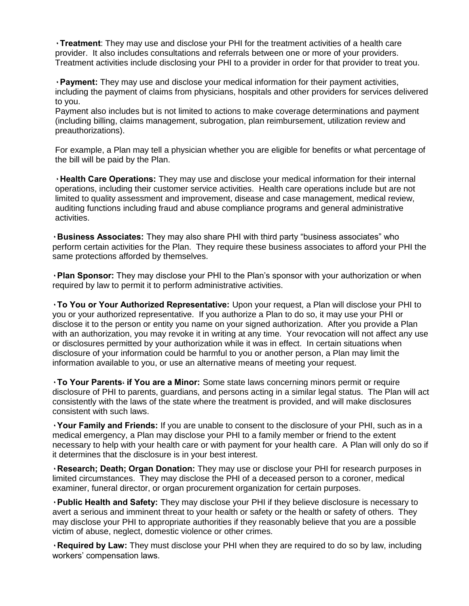**٠Treatment**: They may use and disclose your PHI for the treatment activities of a health care provider. It also includes consultations and referrals between one or more of your providers. Treatment activities include disclosing your PHI to a provider in order for that provider to treat you.

**٠Payment:** They may use and disclose your medical information for their payment activities, including the payment of claims from physicians, hospitals and other providers for services delivered to you.

Payment also includes but is not limited to actions to make coverage determinations and payment (including billing, claims management, subrogation, plan reimbursement, utilization review and preauthorizations).

For example, a Plan may tell a physician whether you are eligible for benefits or what percentage of the bill will be paid by the Plan.

**٠Health Care Operations:** They may use and disclose your medical information for their internal operations, including their customer service activities. Health care operations include but are not limited to quality assessment and improvement, disease and case management, medical review, auditing functions including fraud and abuse compliance programs and general administrative activities.

**٠Business Associates:** They may also share PHI with third party "business associates" who perform certain activities for the Plan. They require these business associates to afford your PHI the same protections afforded by themselves.

**٠Plan Sponsor:** They may disclose your PHI to the Plan's sponsor with your authorization or when required by law to permit it to perform administrative activities.

**٠To You or Your Authorized Representative:** Upon your request, a Plan will disclose your PHI to you or your authorized representative. If you authorize a Plan to do so, it may use your PHI or disclose it to the person or entity you name on your signed authorization. After you provide a Plan with an authorization, you may revoke it in writing at any time. Your revocation will not affect any use or disclosures permitted by your authorization while it was in effect. In certain situations when disclosure of your information could be harmful to you or another person, a Plan may limit the information available to you, or use an alternative means of meeting your request.

**٠To Your Parents, if You are a Minor:** Some state laws concerning minors permit or require disclosure of PHI to parents, guardians, and persons acting in a similar legal status. The Plan will act consistently with the laws of the state where the treatment is provided, and will make disclosures consistent with such laws.

**٠Your Family and Friends:** If you are unable to consent to the disclosure of your PHI, such as in a medical emergency, a Plan may disclose your PHI to a family member or friend to the extent necessary to help with your health care or with payment for your health care. A Plan will only do so if it determines that the disclosure is in your best interest.

**٠Research; Death; Organ Donation:** They may use or disclose your PHI for research purposes in limited circumstances. They may disclose the PHI of a deceased person to a coroner, medical examiner, funeral director, or organ procurement organization for certain purposes.

**٠Public Health and Safety:** They may disclose your PHI if they believe disclosure is necessary to avert a serious and imminent threat to your health or safety or the health or safety of others. They may disclose your PHI to appropriate authorities if they reasonably believe that you are a possible victim of abuse, neglect, domestic violence or other crimes.

**٠Required by Law:** They must disclose your PHI when they are required to do so by law, including workers' compensation laws.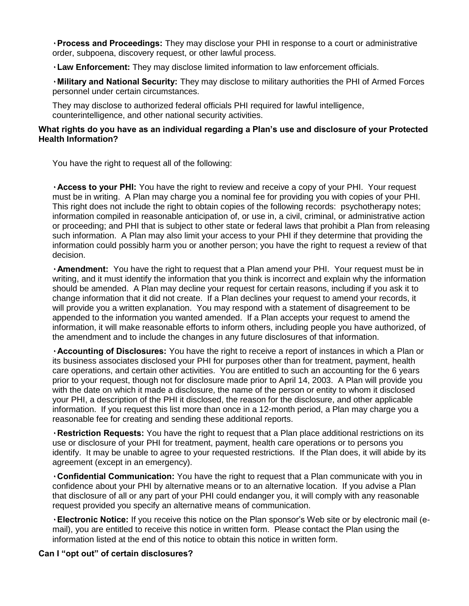**٠Process and Proceedings:** They may disclose your PHI in response to a court or administrative order, subpoena, discovery request, or other lawful process.

**٠Law Enforcement:** They may disclose limited information to law enforcement officials.

**٠Military and National Security:** They may disclose to military authorities the PHI of Armed Forces personnel under certain circumstances.

They may disclose to authorized federal officials PHI required for lawful intelligence, counterintelligence, and other national security activities.

# **What rights do you have as an individual regarding a Plan's use and disclosure of your Protected Health Information?**

You have the right to request all of the following:

**٠Access to your PHI:** You have the right to review and receive a copy of your PHI. Your request must be in writing. A Plan may charge you a nominal fee for providing you with copies of your PHI. This right does not include the right to obtain copies of the following records: psychotherapy notes; information compiled in reasonable anticipation of, or use in, a civil, criminal, or administrative action or proceeding; and PHI that is subject to other state or federal laws that prohibit a Plan from releasing such information. A Plan may also limit your access to your PHI if they determine that providing the information could possibly harm you or another person; you have the right to request a review of that decision.

**٠Amendment:** You have the right to request that a Plan amend your PHI. Your request must be in writing, and it must identify the information that you think is incorrect and explain why the information should be amended. A Plan may decline your request for certain reasons, including if you ask it to change information that it did not create. If a Plan declines your request to amend your records, it will provide you a written explanation. You may respond with a statement of disagreement to be appended to the information you wanted amended. If a Plan accepts your request to amend the information, it will make reasonable efforts to inform others, including people you have authorized, of the amendment and to include the changes in any future disclosures of that information.

**٠Accounting of Disclosures:** You have the right to receive a report of instances in which a Plan or its business associates disclosed your PHI for purposes other than for treatment, payment, health care operations, and certain other activities. You are entitled to such an accounting for the 6 years prior to your request, though not for disclosure made prior to April 14, 2003. A Plan will provide you with the date on which it made a disclosure, the name of the person or entity to whom it disclosed your PHI, a description of the PHI it disclosed, the reason for the disclosure, and other applicable information. If you request this list more than once in a 12-month period, a Plan may charge you a reasonable fee for creating and sending these additional reports.

**٠Restriction Requests:** You have the right to request that a Plan place additional restrictions on its use or disclosure of your PHI for treatment, payment, health care operations or to persons you identify. It may be unable to agree to your requested restrictions. If the Plan does, it will abide by its agreement (except in an emergency).

**٠Confidential Communication:** You have the right to request that a Plan communicate with you in confidence about your PHI by alternative means or to an alternative location. If you advise a Plan that disclosure of all or any part of your PHI could endanger you, it will comply with any reasonable request provided you specify an alternative means of communication.

**٠Electronic Notice:** If you receive this notice on the Plan sponsor's Web site or by electronic mail (email), you are entitled to receive this notice in written form. Please contact the Plan using the information listed at the end of this notice to obtain this notice in written form.

#### **Can I "opt out" of certain disclosures?**